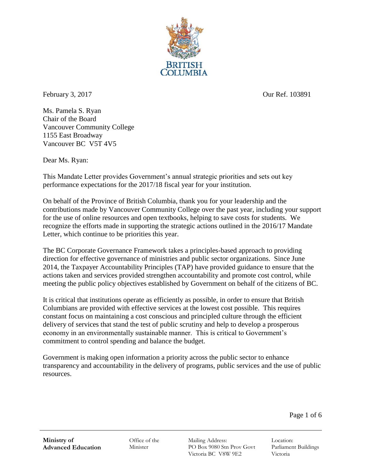

February 3, 2017 Our Ref. 103891

Ms. Pamela S. Ryan Chair of the Board Vancouver Community College 1155 East Broadway Vancouver BC V5T 4V5

Dear Ms. Ryan:

This Mandate Letter provides Government's annual strategic priorities and sets out key performance expectations for the 2017/18 fiscal year for your institution.

On behalf of the Province of British Columbia, thank you for your leadership and the contributions made by Vancouver Community College over the past year, including your support for the use of online resources and open textbooks, helping to save costs for students. We recognize the efforts made in supporting the strategic actions outlined in the 2016/17 Mandate Letter, which continue to be priorities this year.

The BC Corporate Governance Framework takes a principles-based approach to providing direction for effective governance of ministries and public sector organizations. Since June 2014, the Taxpayer Accountability Principles (TAP) have provided guidance to ensure that the actions taken and services provided strengthen accountability and promote cost control, while meeting the public policy objectives established by Government on behalf of the citizens of BC.

It is critical that institutions operate as efficiently as possible, in order to ensure that British Columbians are provided with effective services at the lowest cost possible. This requires constant focus on maintaining a cost conscious and principled culture through the efficient delivery of services that stand the test of public scrutiny and help to develop a prosperous economy in an environmentally sustainable manner. This is critical to Government's commitment to control spending and balance the budget.

Government is making open information a priority across the public sector to enhance transparency and accountability in the delivery of programs, public services and the use of public resources.

Page 1 of 6

Office of the **Minister** 

Mailing Address: PO Box 9080 Stn Prov Govt Victoria BC V8W 9E2

Location: Parliament Buildings Victoria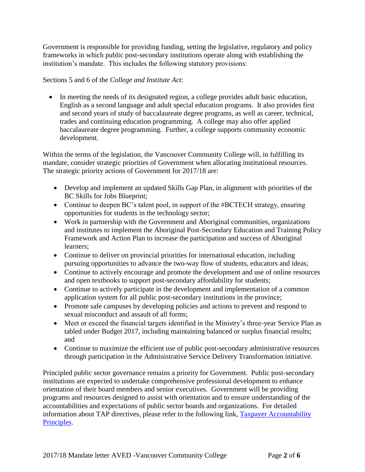Government is responsible for providing funding, setting the legislative, regulatory and policy frameworks in which public post-secondary institutions operate along with establishing the institution's mandate. This includes the following statutory provisions:

Sections 5 and 6 of the *College and Institute Act*:

 In meeting the needs of its designated region, a college provides adult basic education, English as a second language and adult special education programs. It also provides first and second years of study of baccalaureate degree programs, as well as career, technical, trades and continuing education programming. A college may also offer applied baccalaureate degree programming. Further, a college supports community economic development.

Within the terms of the legislation, the Vancouver Community College will, in fulfilling its mandate, consider strategic priorities of Government when allocating institutional resources. The strategic priority actions of Government for 2017/18 are:

- Develop and implement an updated Skills Gap Plan, in alignment with priorities of the BC Skills for Jobs Blueprint;
- Continue to deepen BC's talent pool, in support of the #BCTECH strategy, ensuring opportunities for students in the technology sector;
- Work in partnership with the Government and Aboriginal communities, organizations and institutes to implement the Aboriginal Post-Secondary Education and Training Policy Framework and Action Plan to increase the participation and success of Aboriginal learners;
- Continue to deliver on provincial priorities for international education, including pursuing opportunities to advance the two-way flow of students, educators and ideas;
- Continue to actively encourage and promote the development and use of online resources and open textbooks to support post-secondary affordability for students;
- Continue to actively participate in the development and implementation of a common application system for all public post-secondary institutions in the province;
- Promote safe campuses by developing policies and actions to prevent and respond to sexual misconduct and assault of all forms;
- Meet or exceed the financial targets identified in the Ministry's three-year Service Plan as tabled under Budget 2017, including maintaining balanced or surplus financial results; and
- Continue to maximize the efficient use of public post-secondary administrative resources through participation in the Administrative Service Delivery Transformation initiative.

Principled public sector governance remains a priority for Government. Public post-secondary institutions are expected to undertake comprehensive professional development to enhance orientation of their board members and senior executives. Government will be providing programs and resources designed to assist with orientation and to ensure understanding of the accountabilities and expectations of public sector boards and organizations. For detailed information about TAP directives, please refer to the following link, [Taxpayer Accountability](http://www2.gov.bc.ca/assets/gov/government/ministries-organizations/central-agencies/crown-agencies-resource-office/taxpayer_accountability_principles.pdf)  [Principles.](http://www2.gov.bc.ca/assets/gov/government/ministries-organizations/central-agencies/crown-agencies-resource-office/taxpayer_accountability_principles.pdf)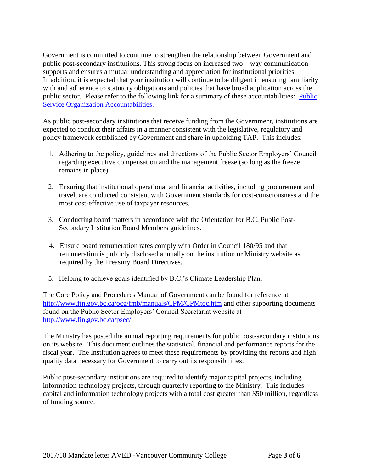Government is committed to continue to strengthen the relationship between Government and public post-secondary institutions. This strong focus on increased two – way communication supports and ensures a mutual understanding and appreciation for institutional priorities. In addition, it is expected that your institution will continue to be diligent in ensuring familiarity with and adherence to statutory obligations and policies that have broad application across the public sector. Please refer to the following link for a summary of these accountabilities: [Public](http://gov.bc.ca/crownaccountabilities)  [Service Organization Accountabilities.](http://gov.bc.ca/crownaccountabilities)

As public post-secondary institutions that receive funding from the Government, institutions are expected to conduct their affairs in a manner consistent with the legislative, regulatory and policy framework established by Government and share in upholding TAP. This includes:

- 1. Adhering to the policy, guidelines and directions of the Public Sector Employers' Council regarding executive compensation and the management freeze (so long as the freeze remains in place).
- 2. Ensuring that institutional operational and financial activities, including procurement and travel, are conducted consistent with Government standards for cost-consciousness and the most cost-effective use of taxpayer resources.
- 3. Conducting board matters in accordance with the Orientation for B.C. Public Post-Secondary Institution Board Members guidelines.
- 4. Ensure board remuneration rates comply with Order in Council 180/95 and that remuneration is publicly disclosed annually on the institution or Ministry website as required by the Treasury Board Directives.
- 5. Helping to achieve goals identified by B.C.'s Climate Leadership Plan.

The Core Policy and Procedures Manual of Government can be found for reference at <http://www.fin.gov.bc.ca/ocg/fmb/manuals/CPM/CPMtoc.htm> and other supporting documents found on the Public Sector Employers' Council Secretariat website at [http://www.fin.gov.bc.ca/psec/.](http://www.fin.gov.bc.ca/psec/)

The Ministry has posted the annual reporting requirements for public post-secondary institutions on its website. This document outlines the statistical, financial and performance reports for the fiscal year. The Institution agrees to meet these requirements by providing the reports and high quality data necessary for Government to carry out its responsibilities.

Public post-secondary institutions are required to identify major capital projects, including information technology projects, through quarterly reporting to the Ministry. This includes capital and information technology projects with a total cost greater than \$50 million, regardless of funding source.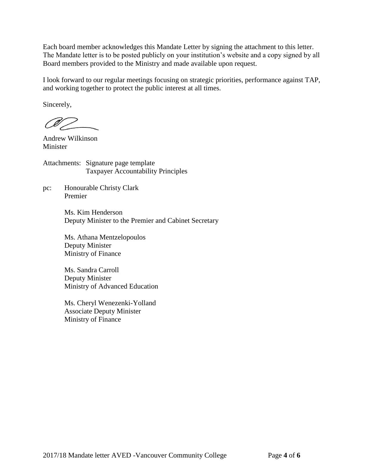Each board member acknowledges this Mandate Letter by signing the attachment to this letter. The Mandate letter is to be posted publicly on your institution's website and a copy signed by all Board members provided to the Ministry and made available upon request.

I look forward to our regular meetings focusing on strategic priorities, performance against TAP, and working together to protect the public interest at all times.

Sincerely,

CV —

Andrew Wilkinson Minister

Attachments: Signature page template Taxpayer Accountability Principles

pc: Honourable Christy Clark Premier

> Ms. Kim Henderson Deputy Minister to the Premier and Cabinet Secretary

Ms. Athana Mentzelopoulos Deputy Minister Ministry of Finance

Ms. Sandra Carroll Deputy Minister Ministry of Advanced Education

Ms. Cheryl Wenezenki-Yolland Associate Deputy Minister Ministry of Finance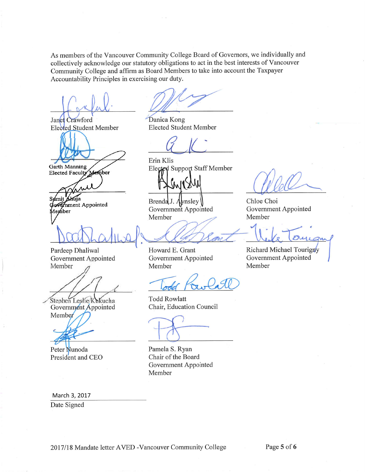As members of the Vancouver Community College Board of Governors, we individually and collectively acknowledge our statutory obligations to act in the best interests of Vancouver Community College and affirm as Board Members to take into account the Taxpayer Accountability Principles in exercising our duty.

Janet Crawford **Elected Student Member** 

**Garth Manning** 

**Elected Faculty** Member

Sumit fuia

Government Appointed Aember

Pardeep Dhaliwal Government Appointed Member

Stephen Leslie/Kukucha

Government Appointed Member

Peter Nunoda President and CEO

March 3, 2017

Date Signed

Danica Kong **Elected Student Member** 

Erin Klis Elected Support Staff Member

**XIM** 

Brenda J. Aynsley Government Appointed Member

Howard E. Grant Government Appointed Member

**Todd Rowlatt** Chair, Education Council

Pamela S. Ryan Chair of the Board Government Appointed Member

Chloe Choi Government Appointed Member

Richard Michael Tourigny Government Appointed Member